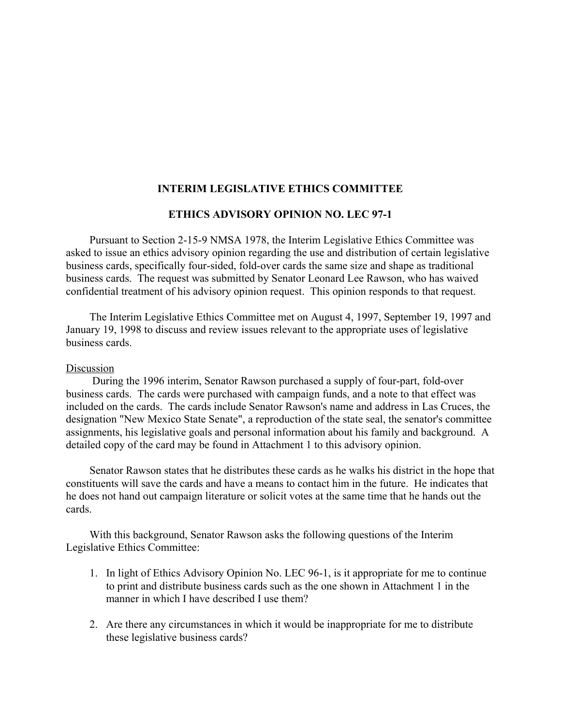## **INTERIM LEGISLATIVE ETHICS COMMITTEE**

## **ETHICS ADVISORY OPINION NO. LEC 97-1**

Pursuant to Section 2-15-9 NMSA 1978, the Interim Legislative Ethics Committee was asked to issue an ethics advisory opinion regarding the use and distribution of certain legislative business cards, specifically four-sided, fold-over cards the same size and shape as traditional business cards. The request was submitted by Senator Leonard Lee Rawson, who has waived confidential treatment of his advisory opinion request. This opinion responds to that request.

The Interim Legislative Ethics Committee met on August 4, 1997, September 19, 1997 and January 19, 1998 to discuss and review issues relevant to the appropriate uses of legislative business cards.

## Discussion

 During the 1996 interim, Senator Rawson purchased a supply of four-part, fold-over business cards. The cards were purchased with campaign funds, and a note to that effect was included on the cards. The cards include Senator Rawson's name and address in Las Cruces, the designation "New Mexico State Senate", a reproduction of the state seal, the senator's committee assignments, his legislative goals and personal information about his family and background. A detailed copy of the card may be found in Attachment 1 to this advisory opinion.

Senator Rawson states that he distributes these cards as he walks his district in the hope that constituents will save the cards and have a means to contact him in the future. He indicates that he does not hand out campaign literature or solicit votes at the same time that he hands out the cards.

With this background, Senator Rawson asks the following questions of the Interim Legislative Ethics Committee:

- 1. In light of Ethics Advisory Opinion No. LEC 96-1, is it appropriate for me to continue to print and distribute business cards such as the one shown in Attachment 1 in the manner in which I have described I use them?
- 2. Are there any circumstances in which it would be inappropriate for me to distribute these legislative business cards?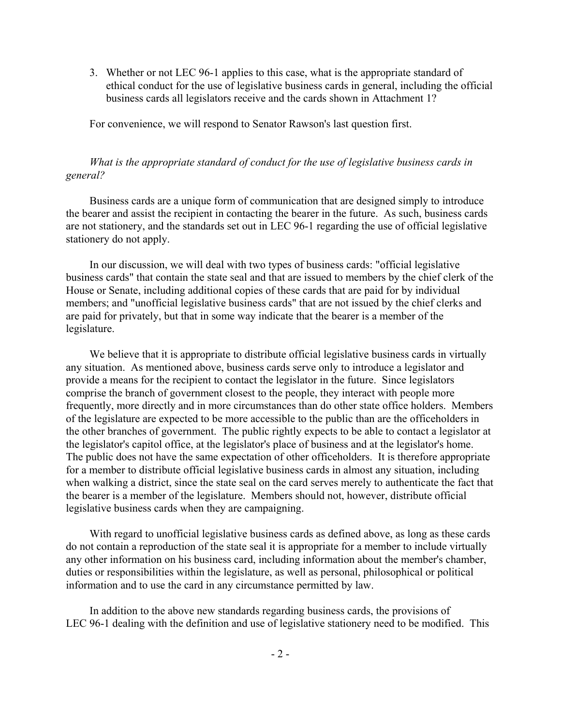3. Whether or not LEC 96-1 applies to this case, what is the appropriate standard of ethical conduct for the use of legislative business cards in general, including the official business cards all legislators receive and the cards shown in Attachment 1?

For convenience, we will respond to Senator Rawson's last question first.

## *What is the appropriate standard of conduct for the use of legislative business cards in general?*

Business cards are a unique form of communication that are designed simply to introduce the bearer and assist the recipient in contacting the bearer in the future. As such, business cards are not stationery, and the standards set out in LEC 96-1 regarding the use of official legislative stationery do not apply.

In our discussion, we will deal with two types of business cards: "official legislative business cards" that contain the state seal and that are issued to members by the chief clerk of the House or Senate, including additional copies of these cards that are paid for by individual members; and "unofficial legislative business cards" that are not issued by the chief clerks and are paid for privately, but that in some way indicate that the bearer is a member of the legislature.

We believe that it is appropriate to distribute official legislative business cards in virtually any situation. As mentioned above, business cards serve only to introduce a legislator and provide a means for the recipient to contact the legislator in the future. Since legislators comprise the branch of government closest to the people, they interact with people more frequently, more directly and in more circumstances than do other state office holders. Members of the legislature are expected to be more accessible to the public than are the officeholders in the other branches of government. The public rightly expects to be able to contact a legislator at the legislator's capitol office, at the legislator's place of business and at the legislator's home. The public does not have the same expectation of other officeholders. It is therefore appropriate for a member to distribute official legislative business cards in almost any situation, including when walking a district, since the state seal on the card serves merely to authenticate the fact that the bearer is a member of the legislature. Members should not, however, distribute official legislative business cards when they are campaigning.

With regard to unofficial legislative business cards as defined above, as long as these cards do not contain a reproduction of the state seal it is appropriate for a member to include virtually any other information on his business card, including information about the member's chamber, duties or responsibilities within the legislature, as well as personal, philosophical or political information and to use the card in any circumstance permitted by law.

In addition to the above new standards regarding business cards, the provisions of LEC 96-1 dealing with the definition and use of legislative stationery need to be modified. This